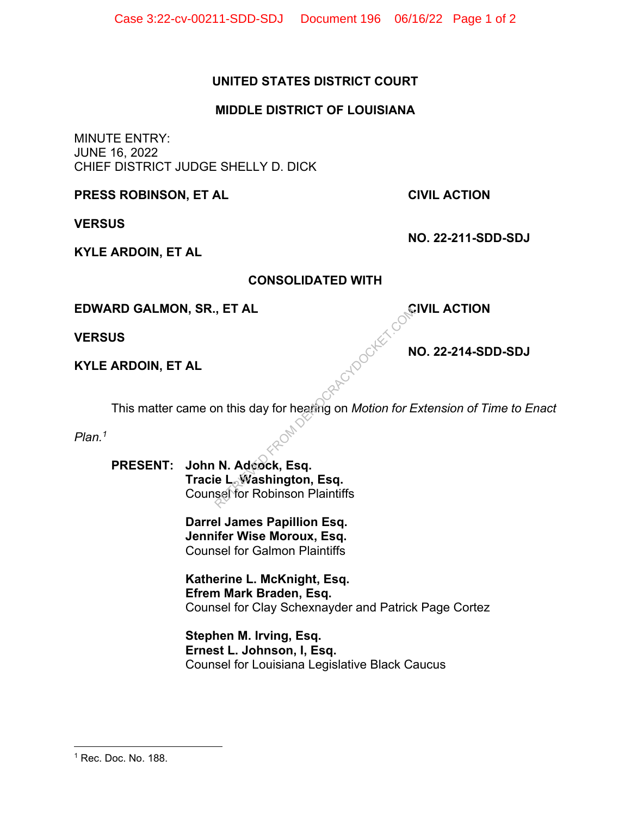## **UNITED STATES DISTRICT COURT**

## **MIDDLE DISTRICT OF LOUISIANA**

MINUTE ENTRY: JUNE 16, 2022 CHIEF DISTRICT JUDGE SHELLY D. DICK

**PRESS ROBINSON, ET AL CIVIL ACTION** 

**VERSUS** 

**KYLE ARDOIN, ET AL** 

**CONSOLIDATED WITH** 

**EDWARD GALMON, SR., ET AL CIVIL ACTION** 

**VERSUS** 

**KYLE ARDOIN, ET AL**

 **NO. 22-214-SDD-SDJ** 

 **NO. 22-211-SDD-SDJ** 

This matter came on this day for hearing on *Motion for Extension of Time to Enact*  Rendocker com

*Plan.1*

 **PRESENT: John N. Adcock, Esq. Tracie L. Washington, Esq.** Counsel for Robinson Plaintiffs

> **Darrel James Papillion Esq. Jennifer Wise Moroux, Esq.**  Counsel for Galmon Plaintiffs

 **Katherine L. McKnight, Esq. Efrem Mark Braden, Esq.** Counsel for Clay Schexnayder and Patrick Page Cortez

 **Stephen M. Irving, Esq. Ernest L. Johnson, I, Esq.** Counsel for Louisiana Legislative Black Caucus

<sup>1</sup> Rec. Doc. No. 188.